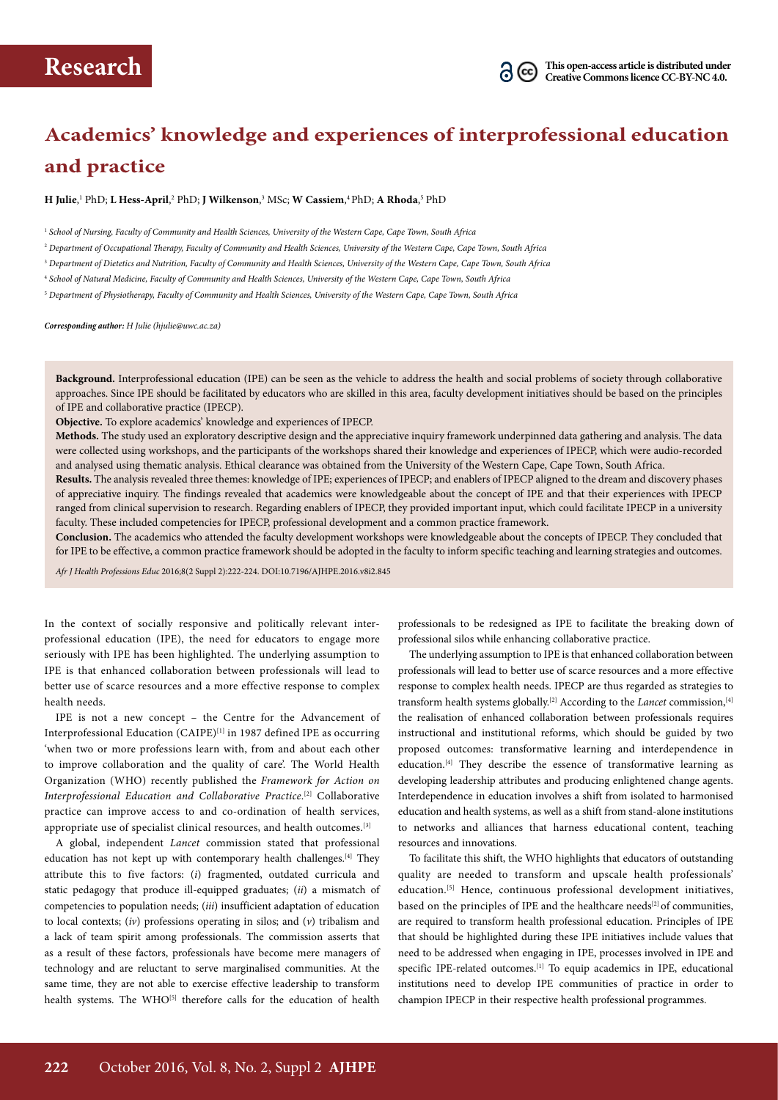

# **Academics' knowledge and experiences of interprofessional education and practice**

**H Julie**, 1 PhD; **L Hess-April**, 2 PhD; **J Wilkenson**, 3 MSc; **W Cassiem**, 4 PhD; **A Rhoda**, 5 PhD

1  *School of Nursing, Faculty of Community and Health Sciences, University of the Western Cape, Cape Town, South Africa*

2  *Department of Occupational Therapy, Faculty of Community and Health Sciences, University of the Western Cape, Cape Town, South Africa*

<sup>3</sup> *Department of Dietetics and Nutrition, Faculty of Community and Health Sciences, University of the Western Cape, Cape Town, South Africa*

4  *School of Natural Medicine, Faculty of Community and Health Sciences, University of the Western Cape, Cape Town, South Africa*

5  *Department of Physiotherapy, Faculty of Community and Health Sciences, University of the Western Cape, Cape Town, South Africa*

*Corresponding author: H Julie (hjulie@uwc.ac.za)*

**Background.** Interprofessional education (IPE) can be seen as the vehicle to address the health and social problems of society through collaborative approaches. Since IPE should be facilitated by educators who are skilled in this area, faculty development initiatives should be based on the principles of IPE and collaborative practice (IPECP).

**Objective.** To explore academics' knowledge and experiences of IPECP.

**Methods.** The study used an exploratory descriptive design and the appreciative inquiry framework underpinned data gathering and analysis. The data were collected using workshops, and the participants of the workshops shared their knowledge and experiences of IPECP, which were audio-recorded and analysed using thematic analysis. Ethical clearance was obtained from the University of the Western Cape, Cape Town, South Africa.

Results. The analysis revealed three themes: knowledge of IPE; experiences of IPECP; and enablers of IPECP aligned to the dream and discovery phases of appreciative inquiry. The findings revealed that academics were knowledgeable about the concept of IPE and that their experiences with IPECP ranged from clinical supervision to research. Regarding enablers of IPECP, they provided important input, which could facilitate IPECP in a university faculty. These included competencies for IPECP, professional development and a common practice framework.

**Conclusion.** The academics who attended the faculty development workshops were knowledgeable about the concepts of IPECP. They concluded that for IPE to be effective, a common practice framework should be adopted in the faculty to inform specific teaching and learning strategies and outcomes.

*Afr J Health Professions Educ* 2016;8(2 Suppl 2):222-224. DOI:10.7196/AJHPE.2016.v8i2.845

In the context of socially responsive and politically relevant interprofessional education (IPE), the need for educators to engage more seriously with IPE has been highlighted. The underlying assumption to IPE is that enhanced collaboration between professionals will lead to better use of scarce resources and a more effective response to complex health needs.

IPE is not a new concept – the Centre for the Advancement of Interprofessional Education (CAIPE)<sup>[1]</sup> in 1987 defined IPE as occurring 'when two or more professions learn with, from and about each other to improve collaboration and the quality of care'. The World Health Organization (WHO) recently published the *Framework for Action on*  Interprofessional Education and Collaborative Practice.<sup>[2]</sup> Collaborative practice can improve access to and co-ordination of health services, appropriate use of specialist clinical resources, and health outcomes.[3]

A global, independent *Lancet* commission stated that professional education has not kept up with contemporary health challenges.<sup>[4]</sup> They attribute this to five factors: (*i*) fragmented, outdated curricula and static pedagogy that produce ill-equipped graduates; (*ii*) a mismatch of competencies to population needs; (*iii*) insufficient adaptation of education to local contexts; (*iv*) professions operating in silos; and (*v*) tribalism and a lack of team spirit among professionals. The commission asserts that as a result of these factors, professionals have become mere managers of technology and are reluctant to serve marginalised communities. At the same time, they are not able to exercise effective leadership to transform health systems. The WHO<sup>[5]</sup> therefore calls for the education of health

professionals to be redesigned as IPE to facilitate the breaking down of professional silos while enhancing collaborative practice.

The underlying assumption to IPE is that enhanced collaboration between professionals will lead to better use of scarce resources and a more effective response to complex health needs. IPECP are thus regarded as strategies to transform health systems globally.<sup>[2]</sup> According to the *Lancet* commission,<sup>[4]</sup> the realisation of enhanced collaboration between professionals requires instructional and institutional reforms, which should be guided by two proposed outcomes: transformative learning and interdependence in education.<sup>[4]</sup> They describe the essence of transformative learning as developing leadership attributes and producing enlightened change agents. Interdependence in education involves a shift from isolated to harmonised education and health systems, as well as a shift from stand-alone institutions to networks and alliances that harness educational content, teaching resources and innovations.

To facilitate this shift, the WHO highlights that educators of outstanding quality are needed to transform and upscale health professionals' education.<sup>[5]</sup> Hence, continuous professional development initiatives, based on the principles of IPE and the healthcare needs<sup>[2]</sup> of communities, are required to transform health professional education. Principles of IPE that should be highlighted during these IPE initiatives include values that need to be addressed when engaging in IPE, processes involved in IPE and specific IPE-related outcomes.<sup>[1]</sup> To equip academics in IPE, educational institutions need to develop IPE communities of practice in order to champion IPECP in their respective health professional programmes.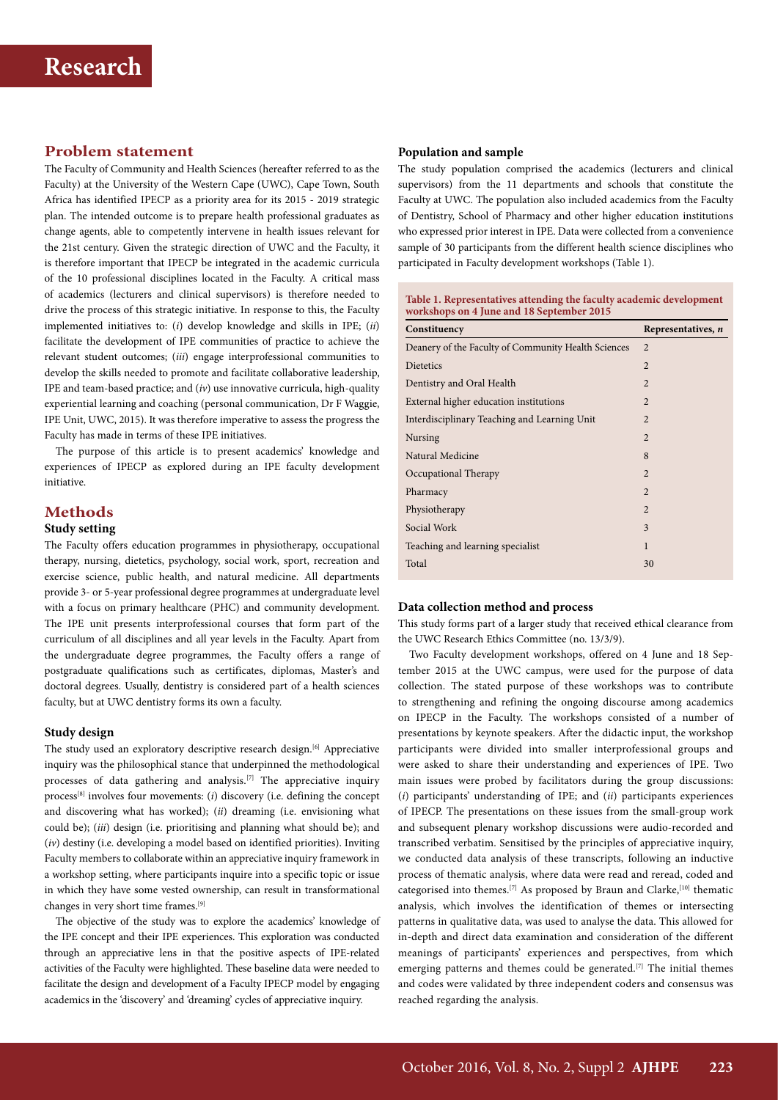### **Problem statement**

The Faculty of Community and Health Sciences (hereafter referred to as the Faculty) at the University of the Western Cape (UWC), Cape Town, South Africa has identified IPECP as a priority area for its 2015 - 2019 strategic plan. The intended outcome is to prepare health professional graduates as change agents, able to competently intervene in health issues relevant for the 21st century. Given the strategic direction of UWC and the Faculty, it is therefore important that IPECP be integrated in the academic curricula of the 10 professional disciplines located in the Faculty. A critical mass of academics (lecturers and clinical supervisors) is therefore needed to drive the process of this strategic initiative. In response to this, the Faculty implemented initiatives to: (*i*) develop knowledge and skills in IPE; (*ii*) facilitate the development of IPE communities of practice to achieve the relevant student outcomes; (*iii*) engage interprofessional communities to develop the skills needed to promote and facilitate collaborative leadership, IPE and team-based practice; and (*iv*) use innovative curricula, high-quality experiential learning and coaching (personal communication, Dr F Waggie, IPE Unit, UWC, 2015). It was therefore imperative to assess the progress the Faculty has made in terms of these IPE initiatives.

The purpose of this article is to present academics' knowledge and experiences of IPECP as explored during an IPE faculty development initiative.

#### **Methods**

#### **Study setting**

The Faculty offers education programmes in physiotherapy, occupational therapy, nursing, dietetics, psychology, social work, sport, recreation and exercise science, public health, and natural medicine. All departments provide 3- or 5-year professional degree programmes at undergraduate level with a focus on primary healthcare (PHC) and community development. The IPE unit presents interprofessional courses that form part of the curriculum of all disciplines and all year levels in the Faculty. Apart from the undergraduate degree programmes, the Faculty offers a range of postgraduate qualifications such as certificates, diplomas, Master's and doctoral degrees. Usually, dentistry is considered part of a health sciences faculty, but at UWC dentistry forms its own a faculty.

#### **Study design**

The study used an exploratory descriptive research design.<sup>[6]</sup> Appreciative inquiry was the philosophical stance that underpinned the methodological processes of data gathering and analysis.<sup>[7]</sup> The appreciative inquiry process[8] involves four movements: (*i*) discovery (i.e. defining the concept and discovering what has worked); (*ii*) dreaming (i.e. envisioning what could be); (*iii*) design (i.e. prioritising and planning what should be); and (*iv*) destiny (i.e. developing a model based on identified priorities). Inviting Faculty members to collaborate within an appreciative inquiry framework in a workshop setting, where participants inquire into a specific topic or issue in which they have some vested ownership, can result in transformational changes in very short time frames.[9]

The objective of the study was to explore the academics' knowledge of the IPE concept and their IPE experiences. This exploration was conducted through an appreciative lens in that the positive aspects of IPE-related activities of the Faculty were highlighted. These baseline data were needed to facilitate the design and development of a Faculty IPECP model by engaging academics in the 'discovery' and 'dreaming' cycles of appreciative inquiry.

#### **Population and sample**

The study population comprised the academics (lecturers and clinical supervisors) from the 11 departments and schools that constitute the Faculty at UWC. The population also included academics from the Faculty of Dentistry, School of Pharmacy and other higher education institutions who expressed prior interest in IPE. Data were collected from a convenience sample of 30 participants from the different health science disciplines who participated in Faculty development workshops (Table 1).

| Table 1. Representatives attending the faculty academic development |  |
|---------------------------------------------------------------------|--|
| workshops on 4 June and 18 September 2015                           |  |

| Constituency                                        | Representatives, n |
|-----------------------------------------------------|--------------------|
| Deanery of the Faculty of Community Health Sciences | $\overline{2}$     |
| Dietetics                                           | $\overline{2}$     |
| Dentistry and Oral Health                           | $\overline{2}$     |
| External higher education institutions              | $\overline{2}$     |
| Interdisciplinary Teaching and Learning Unit        | $\overline{2}$     |
| Nursing                                             | $\overline{2}$     |
| Natural Medicine                                    | 8                  |
| Occupational Therapy                                | $\mathfrak{D}$     |
| Pharmacy                                            | $\overline{2}$     |
| Physiotherapy                                       | $\mathfrak{D}$     |
| Social Work                                         | 3                  |
| Teaching and learning specialist                    | 1                  |
| Total                                               | 30                 |
|                                                     |                    |

#### **Data collection method and process**

This study forms part of a larger study that received ethical clearance from the UWC Research Ethics Committee (no. 13/3/9).

Two Faculty development workshops, offered on 4 June and 18 September 2015 at the UWC campus, were used for the purpose of data collection. The stated purpose of these workshops was to contribute to strengthening and refining the ongoing discourse among academics on IPECP in the Faculty. The workshops consisted of a number of presentations by keynote speakers. After the didactic input, the workshop participants were divided into smaller interprofessional groups and were asked to share their understanding and experiences of IPE. Two main issues were probed by facilitators during the group discussions: (*i*) participants' understanding of IPE; and (*ii*) participants experiences of IPECP. The presentations on these issues from the small-group work and subsequent plenary workshop discussions were audio-recorded and transcribed verbatim. Sensitised by the principles of appreciative inquiry, we conducted data analysis of these transcripts, following an inductive process of thematic analysis, where data were read and reread, coded and categorised into themes.<sup>[7]</sup> As proposed by Braun and Clarke,<sup>[10]</sup> thematic analysis, which involves the identification of themes or intersecting patterns in qualitative data, was used to analyse the data. This allowed for in-depth and direct data examination and consideration of the different meanings of participants' experiences and perspectives, from which emerging patterns and themes could be generated.<sup>[7]</sup> The initial themes and codes were validated by three independent coders and consensus was reached regarding the analysis.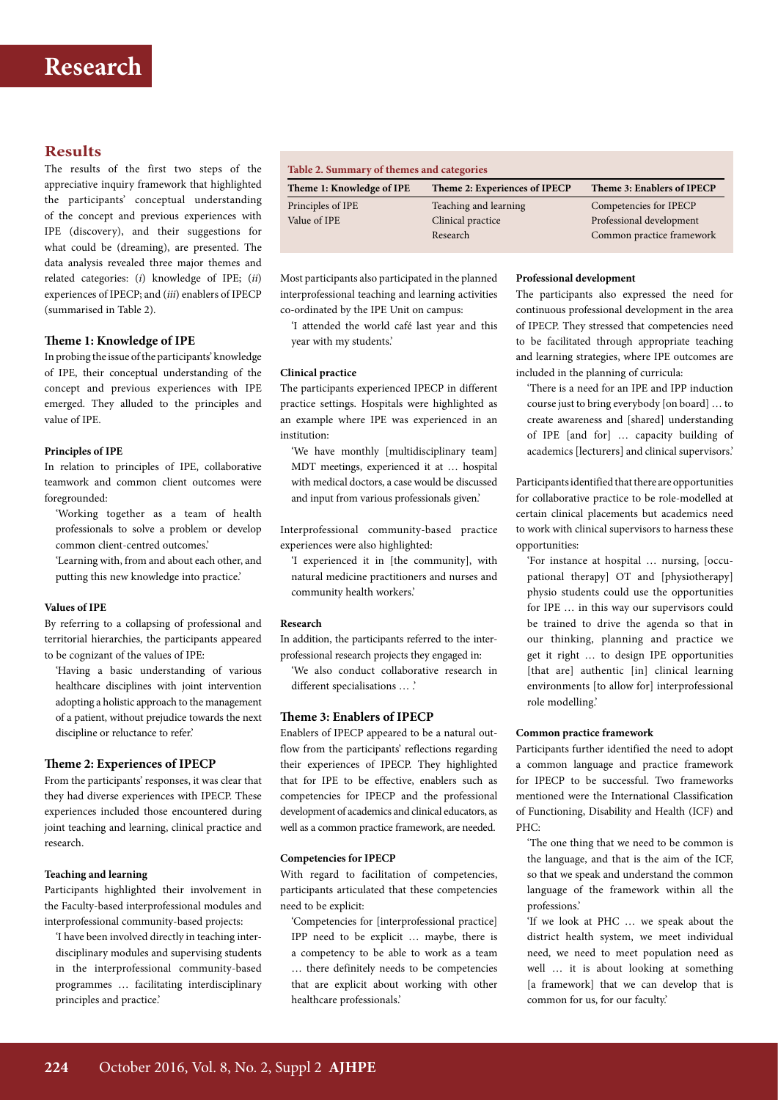## **Results**

The results of the first two steps of the appreciative inquiry framework that highlighted the participants' conceptual understanding of the concept and previous experiences with IPE (discovery), and their suggestions for what could be (dreaming), are presented. The data analysis revealed three major themes and related categories: (*i*) knowledge of IPE; (*ii*) experiences of IPECP; and (*iii*) enablers of IPECP (summarised in Table 2).

#### **Theme 1: Knowledge of IPE**

In probing the issue of the participants' knowledge of IPE, their conceptual understanding of the concept and previous experiences with IPE emerged. They alluded to the principles and value of IPE.

#### **Principles of IPE**

In relation to principles of IPE, collaborative teamwork and common client outcomes were foregrounded:

'Working together as a team of health professionals to solve a problem or develop common client-centred outcomes.'

'Learning with, from and about each other, and putting this new knowledge into practice.'

#### **Values of IPE**

By referring to a collapsing of professional and territorial hierarchies, the participants appeared to be cognizant of the values of IPE:

'Having a basic understanding of various healthcare disciplines with joint intervention adopting a holistic approach to the management of a patient, without prejudice towards the next discipline or reluctance to refer.'

#### **Theme 2: Experiences of IPECP**

From the participants' responses, it was clear that they had diverse experiences with IPECP. These experiences included those encountered during joint teaching and learning, clinical practice and research.

#### **Teaching and learning**

Participants highlighted their involvement in the Faculty-based interprofessional modules and interprofessional community-based projects:

'I have been involved directly in teaching interdisciplinary modules and supervising students in the interprofessional community-based programmes … facilitating interdisciplinary principles and practice.'

| Table 2. Summary of themes and categories |                               |                            |  |
|-------------------------------------------|-------------------------------|----------------------------|--|
| Theme 1: Knowledge of IPE                 | Theme 2: Experiences of IPECP | Theme 3: Enablers of IPECP |  |
| Principles of IPE                         | Teaching and learning         | Competencies for IPECP     |  |
| Value of IPE                              | Clinical practice             | Professional development   |  |
|                                           | Research                      | Common practice framework  |  |

Most participants also participated in the planned interprofessional teaching and learning activities co-ordinated by the IPE Unit on campus:

'I attended the world café last year and this year with my students.'

#### **Clinical practice**

The participants experienced IPECP in different practice settings. Hospitals were highlighted as an example where IPE was experienced in an institution:

'We have monthly [multidisciplinary team] MDT meetings, experienced it at … hospital with medical doctors, a case would be discussed and input from various professionals given.'

Interprofessional community-based practice experiences were also highlighted:

'I experienced it in [the community], with natural medicine practitioners and nurses and community health workers.'

#### **Research**

In addition, the participants referred to the interprofessional research projects they engaged in:

'We also conduct collaborative research in different specialisations … .'

#### **Theme 3: Enablers of IPECP**

Enablers of IPECP appeared to be a natural outflow from the participants' reflections regarding their experiences of IPECP. They highlighted that for IPE to be effective, enablers such as competencies for IPECP and the professional development of academics and clinical educators, as well as a common practice framework, are needed.

#### **Competencies for IPECP**

With regard to facilitation of competencies, participants articulated that these competencies need to be explicit:

'Competencies for [interprofessional practice] IPP need to be explicit … maybe, there is a competency to be able to work as a team … there definitely needs to be competencies that are explicit about working with other healthcare professionals.'

#### **Professional development**

The participants also expressed the need for continuous professional development in the area of IPECP. They stressed that competencies need to be facilitated through appropriate teaching and learning strategies, where IPE outcomes are included in the planning of curricula:

'There is a need for an IPE and IPP induction course just to bring everybody [on board] … to create awareness and [shared] understanding of IPE [and for] … capacity building of academics [lecturers] and clinical supervisors.'

Participants identified that there are opportunities for collaborative practice to be role-modelled at certain clinical placements but academics need to work with clinical supervisors to harness these opportunities:

'For instance at hospital … nursing, [occupational therapy] OT and [physiotherapy] physio students could use the opportunities for IPE … in this way our supervisors could be trained to drive the agenda so that in our thinking, planning and practice we get it right … to design IPE opportunities [that are] authentic [in] clinical learning environments [to allow for] interprofessional role modelling.'

#### **Common practice framework**

Participants further identified the need to adopt a common language and practice framework for IPECP to be successful. Two frameworks mentioned were the International Classification of Functioning, Disability and Health (ICF) and PHC:

'The one thing that we need to be common is the language, and that is the aim of the ICF, so that we speak and understand the common language of the framework within all the professions.'

'If we look at PHC … we speak about the district health system, we meet individual need, we need to meet population need as well … it is about looking at something [a framework] that we can develop that is common for us, for our faculty.'